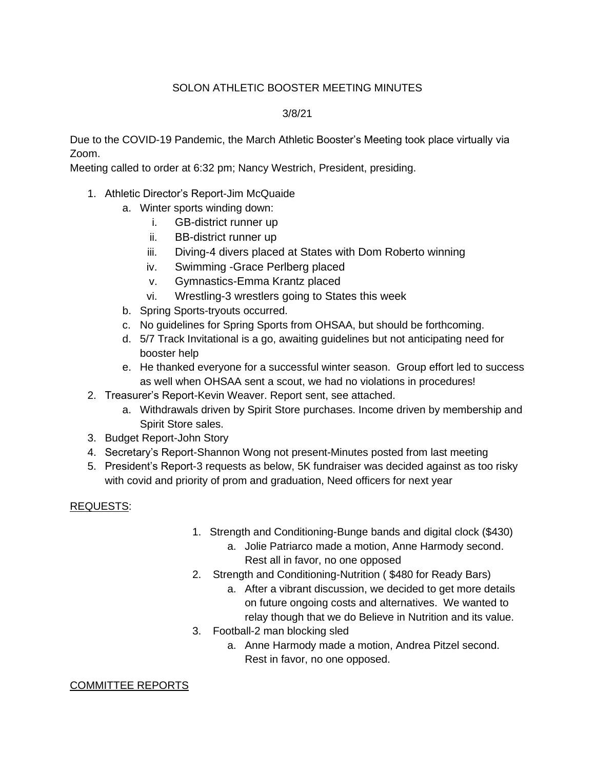## SOLON ATHLETIC BOOSTER MEETING MINUTES

## 3/8/21

Due to the COVID-19 Pandemic, the March Athletic Booster's Meeting took place virtually via Zoom.

Meeting called to order at 6:32 pm; Nancy Westrich, President, presiding.

- 1. Athletic Director's Report-Jim McQuaide
	- a. Winter sports winding down:
		- i. GB-district runner up
		- ii. BB-district runner up
		- iii. Diving-4 divers placed at States with Dom Roberto winning
		- iv. Swimming -Grace Perlberg placed
		- v. Gymnastics-Emma Krantz placed
		- vi. Wrestling-3 wrestlers going to States this week
	- b. Spring Sports-tryouts occurred.
	- c. No guidelines for Spring Sports from OHSAA, but should be forthcoming.
	- d. 5/7 Track Invitational is a go, awaiting guidelines but not anticipating need for booster help
	- e. He thanked everyone for a successful winter season. Group effort led to success as well when OHSAA sent a scout, we had no violations in procedures!
- 2. Treasurer's Report-Kevin Weaver. Report sent, see attached.
	- a. Withdrawals driven by Spirit Store purchases. Income driven by membership and Spirit Store sales.
- 3. Budget Report-John Story
- 4. Secretary's Report-Shannon Wong not present-Minutes posted from last meeting
- 5. President's Report-3 requests as below, 5K fundraiser was decided against as too risky with covid and priority of prom and graduation, Need officers for next year

## REQUESTS:

- 1. Strength and Conditioning-Bunge bands and digital clock (\$430)
	- a. Jolie Patriarco made a motion, Anne Harmody second. Rest all in favor, no one opposed
- 2. Strength and Conditioning-Nutrition ( \$480 for Ready Bars)
	- a. After a vibrant discussion, we decided to get more details on future ongoing costs and alternatives. We wanted to relay though that we do Believe in Nutrition and its value.
- 3. Football-2 man blocking sled
	- a. Anne Harmody made a motion, Andrea Pitzel second. Rest in favor, no one opposed.

## COMMITTEE REPORTS